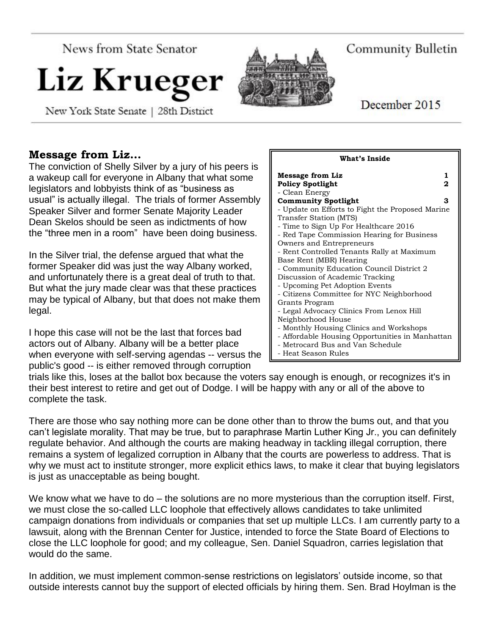**News from State Senator** 

# Liz Krueg

New York State Senate | 28th District

## Community Bulletin

December 2015

### **Message from Liz…**

The conviction of Shelly Silver by a jury of his peers is a wakeup call for everyone in Albany that what some legislators and lobbyists think of as "business as usual" is actually illegal. The trials of former Assembly Speaker Silver and former Senate Majority Leader Dean Skelos should be seen as indictments of how the "three men in a room" have been doing business.

In the Silver trial, the defense argued that what the former Speaker did was just the way Albany worked, and unfortunately there is a great deal of truth to that. But what the jury made clear was that these practices may be typical of Albany, but that does not make them legal.

I hope this case will not be the last that forces bad actors out of Albany. Albany will be a better place when everyone with self-serving agendas -- versus the public's good -- is either removed through corruption

| What's Inside                                                                                                                                                                                                                                                                                                                                                                                                                                                                             |
|-------------------------------------------------------------------------------------------------------------------------------------------------------------------------------------------------------------------------------------------------------------------------------------------------------------------------------------------------------------------------------------------------------------------------------------------------------------------------------------------|
| 1.<br><b>Message from Liz</b><br><b>Policy Spotlight</b><br>2                                                                                                                                                                                                                                                                                                                                                                                                                             |
| - Clean Energy<br><b>Community Spotlight</b><br>з<br>- Update on Efforts to Fight the Proposed Marine<br>Transfer Station (MTS)<br>- Time to Sign Up For Healthcare 2016<br>- Red Tape Commission Hearing for Business<br>Owners and Entrepreneurs<br>- Rent Controlled Tenants Rally at Maximum<br>Base Rent (MBR) Hearing<br>- Community Education Council District 2<br>Discussion of Academic Tracking<br>- Upcoming Pet Adoption Events<br>- Citizens Committee for NYC Neighborhood |
| Grants Program<br>- Legal Advocacy Clinics From Lenox Hill<br>Neighborhood House<br>- Monthly Housing Clinics and Workshops<br>- Affordable Housing Opportunities in Manhattan<br>- Metrocard Bus and Van Schedule<br>- Heat Season Rules                                                                                                                                                                                                                                                 |

trials like this, loses at the ballot box because the voters say enough is enough, or recognizes it's in their best interest to retire and get out of Dodge. I will be happy with any or all of the above to complete the task.

There are those who say nothing more can be done other than to throw the bums out, and that you can't legislate morality. That may be true, but to paraphrase Martin Luther King Jr., you can definitely regulate behavior. And although the courts are making headway in tackling illegal corruption, there remains a system of legalized corruption in Albany that the courts are powerless to address. That is why we must act to institute stronger, more explicit ethics laws, to make it clear that buying legislators is just as unacceptable as being bought.

We know what we have to do – the solutions are no more mysterious than the corruption itself. First, we must close the so-called LLC loophole that effectively allows candidates to take unlimited campaign donations from individuals or companies that set up multiple LLCs. I am currently party to a lawsuit, along with the Brennan Center for Justice, intended to force the State Board of Elections to close the LLC loophole for good; and my colleague, Sen. Daniel Squadron, carries legislation that would do the same.

In addition, we must implement common-sense restrictions on legislators' outside income, so that outside interests cannot buy the support of elected officials by hiring them. Sen. Brad Hoylman is the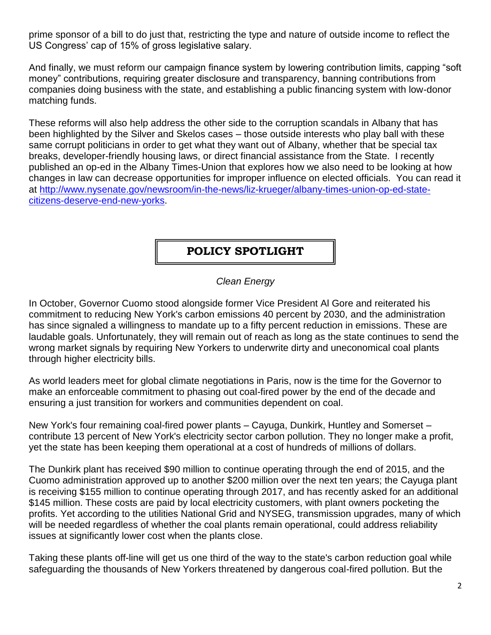prime sponsor of a bill to do just that, restricting the type and nature of outside income to reflect the US Congress' cap of 15% of gross legislative salary.

And finally, we must reform our campaign finance system by lowering contribution limits, capping "soft money" contributions, requiring greater disclosure and transparency, banning contributions from companies doing business with the state, and establishing a public financing system with low-donor matching funds.

These reforms will also help address the other side to the corruption scandals in Albany that has been highlighted by the Silver and Skelos cases – those outside interests who play ball with these same corrupt politicians in order to get what they want out of Albany, whether that be special tax breaks, developer-friendly housing laws, or direct financial assistance from the State. I recently published an op-ed in the Albany Times-Union that explores how we also need to be looking at how changes in law can decrease opportunities for improper influence on elected officials. You can read it at [http://www.nysenate.gov/newsroom/in-the-news/liz-krueger/albany-times-union-op-ed-state](http://www.nysenate.gov/newsroom/in-the-news/liz-krueger/albany-times-union-op-ed-state-citizens-deserve-end-new-yorks)[citizens-deserve-end-new-yorks.](http://www.nysenate.gov/newsroom/in-the-news/liz-krueger/albany-times-union-op-ed-state-citizens-deserve-end-new-yorks)

## **POLICY SPOTLIGHT**

#### *Clean Energy*

In October, Governor Cuomo stood alongside former Vice President Al Gore and reiterated his commitment to reducing New York's carbon emissions 40 percent by 2030, and the administration has since signaled a willingness to mandate up to a fifty percent reduction in emissions. These are laudable goals. Unfortunately, they will remain out of reach as long as the state continues to send the wrong market signals by requiring New Yorkers to underwrite dirty and uneconomical coal plants through higher electricity bills.

As world leaders meet for global climate negotiations in Paris, now is the time for the Governor to make an enforceable commitment to phasing out coal-fired power by the end of the decade and ensuring a just transition for workers and communities dependent on coal.

New York's four remaining coal-fired power plants – Cayuga, Dunkirk, Huntley and Somerset – contribute 13 percent of New York's electricity sector carbon pollution. They no longer make a profit, yet the state has been keeping them operational at a cost of hundreds of millions of dollars.

The Dunkirk plant has received \$90 million to continue operating through the end of 2015, and the Cuomo administration approved up to another \$200 million over the next ten years; the Cayuga plant is receiving \$155 million to continue operating through 2017, and has recently asked for an additional \$145 million. These costs are paid by local electricity customers, with plant owners pocketing the profits. Yet according to the utilities National Grid and NYSEG, transmission upgrades, many of which will be needed regardless of whether the coal plants remain operational, could address reliability issues at significantly lower cost when the plants close.

Taking these plants off-line will get us one third of the way to the state's carbon reduction goal while safeguarding the thousands of New Yorkers threatened by dangerous coal-fired pollution. But the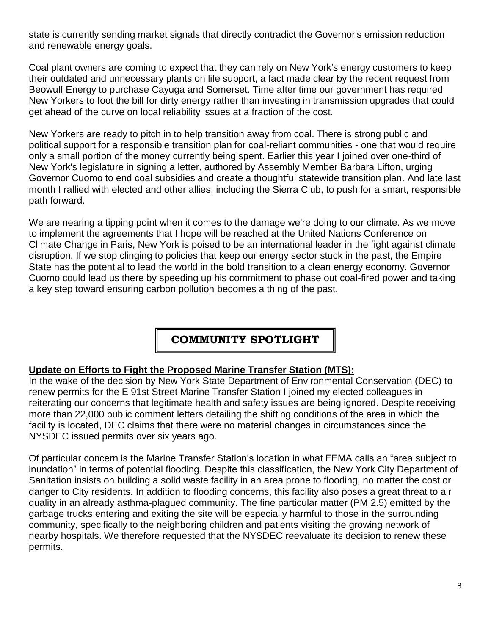state is currently sending market signals that directly contradict the Governor's emission reduction and renewable energy goals.

Coal plant owners are coming to expect that they can rely on New York's energy customers to keep their outdated and unnecessary plants on life support, a fact made clear by the recent request from Beowulf Energy to purchase Cayuga and Somerset. Time after time our government has required New Yorkers to foot the bill for dirty energy rather than investing in transmission upgrades that could get ahead of the curve on local reliability issues at a fraction of the cost.

New Yorkers are ready to pitch in to help transition away from coal. There is strong public and political support for a responsible transition plan for coal-reliant communities - one that would require only a small portion of the money currently being spent. Earlier this year I joined over one-third of New York's legislature in signing a letter, authored by Assembly Member Barbara Lifton, urging Governor Cuomo to end coal subsidies and create a thoughtful statewide transition plan. And late last month I rallied with elected and other allies, including the Sierra Club, to push for a smart, responsible path forward.

We are nearing a tipping point when it comes to the damage we're doing to our climate. As we move to implement the agreements that I hope will be reached at the United Nations Conference on Climate Change in Paris, New York is poised to be an international leader in the fight against climate disruption. If we stop clinging to policies that keep our energy sector stuck in the past, the Empire State has the potential to lead the world in the bold transition to a clean energy economy. Governor Cuomo could lead us there by speeding up his commitment to phase out coal-fired power and taking a key step toward ensuring carbon pollution becomes a thing of the past.

## **COMMUNITY SPOTLIGHT**

#### **Update on Efforts to Fight the Proposed Marine Transfer Station (MTS):**

In the wake of the decision by New York State Department of Environmental Conservation (DEC) to renew permits for the E 91st Street Marine Transfer Station I joined my elected colleagues in reiterating our concerns that legitimate health and safety issues are being ignored. Despite receiving more than 22,000 public comment letters detailing the shifting conditions of the area in which the facility is located, DEC claims that there were no material changes in circumstances since the NYSDEC issued permits over six years ago.

Of particular concern is the Marine Transfer Station's location in what FEMA calls an "area subject to inundation" in terms of potential flooding. Despite this classification, the New York City Department of Sanitation insists on building a solid waste facility in an area prone to flooding, no matter the cost or danger to City residents. In addition to flooding concerns, this facility also poses a great threat to air quality in an already asthma-plagued community. The fine particular matter (PM 2.5) emitted by the garbage trucks entering and exiting the site will be especially harmful to those in the surrounding community, specifically to the neighboring children and patients visiting the growing network of nearby hospitals. We therefore requested that the NYSDEC reevaluate its decision to renew these permits.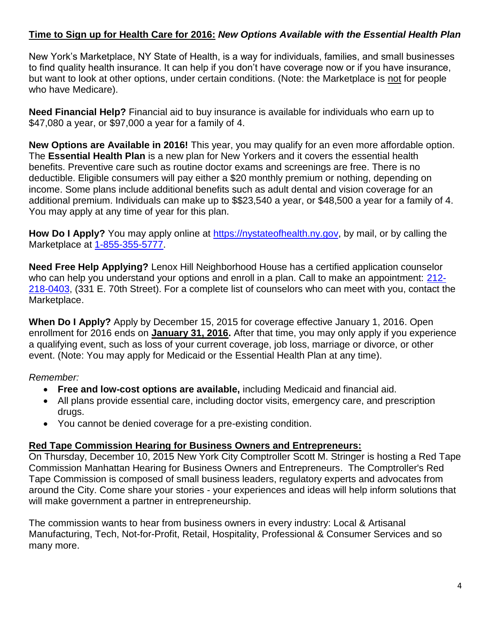#### **Time to Sign up for Health Care for 2016:** *New Options Available with the Essential Health Plan*

New York's Marketplace, NY State of Health, is a way for individuals, families, and small businesses to find quality health insurance. It can help if you don't have coverage now or if you have insurance, but want to look at other options, under certain conditions. (Note: the Marketplace is not for people who have Medicare).

**Need Financial Help?** Financial aid to buy insurance is available for individuals who earn up to \$47,080 a year, or \$97,000 a year for a family of 4.

**New Options are Available in 2016!** This year, you may qualify for an even more affordable option. The **Essential Health Plan** is a new plan for New Yorkers and it covers the essential health benefits. Preventive care such as routine doctor exams and screenings are free. There is no deductible. Eligible consumers will pay either a \$20 monthly premium or nothing, depending on income. Some plans include additional benefits such as adult dental and vision coverage for an additional premium. Individuals can make up to \$\$23,540 a year, or \$48,500 a year for a family of 4. You may apply at any time of year for this plan.

How Do I Apply? You may apply online at [https://nystateofhealth.ny.gov,](https://nystateofhealth.ny.gov/) by mail, or by calling the Marketplace at [1-855-355-5777.](tel:1-855-355-5777)

**Need Free Help Applying?** Lenox Hill Neighborhood House has a certified application counselor who can help you understand your options and enroll in a plan. Call to make an appointment: [212-](tel:212-218-0403) [218-0403,](tel:212-218-0403) (331 E. 70th Street). For a complete list of counselors who can meet with you, contact the Marketplace.

**When Do I Apply?** Apply by December 15, 2015 for coverage effective January 1, 2016. Open enrollment for 2016 ends on **January 31, 2016.** After that time, you may only apply if you experience a qualifying event, such as loss of your current coverage, job loss, marriage or divorce, or other event. (Note: You may apply for Medicaid or the Essential Health Plan at any time).

#### *Remember:*

- **Free and low-cost options are available,** including Medicaid and financial aid.
- All plans provide essential care, including doctor visits, emergency care, and prescription drugs.
- You cannot be denied coverage for a pre-existing condition.

#### **Red Tape Commission Hearing for Business Owners and Entrepreneurs:**

On Thursday, December 10, 2015 New York City Comptroller Scott M. Stringer is hosting a Red Tape Commission Manhattan Hearing for Business Owners and Entrepreneurs. The Comptroller's Red Tape Commission is composed of small business leaders, regulatory experts and advocates from around the City. Come share your stories - your experiences and ideas will help inform solutions that will make government a partner in entrepreneurship.

The commission wants to hear from business owners in every industry: Local & Artisanal Manufacturing, Tech, Not-for-Profit, Retail, Hospitality, Professional & Consumer Services and so many more.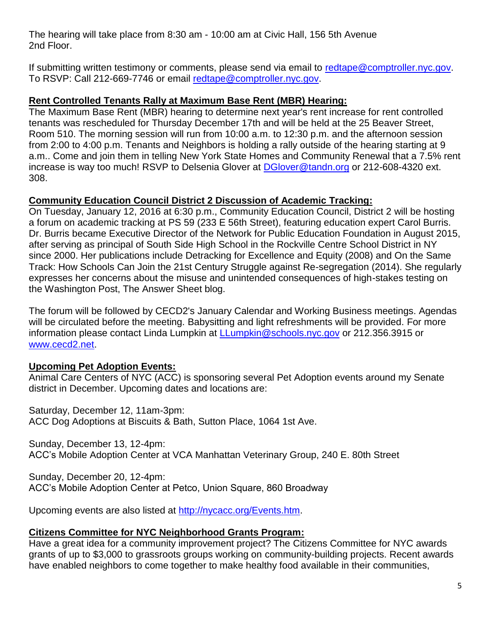The hearing will take place from 8:30 am - 10:00 am at Civic Hall, 156 5th Avenue 2nd Floor.

If submitting written testimony or comments, please send via email to [redtape@comptroller.nyc.gov.](mailto:redtape@comptroller.nyc.gov) To RSVP: Call 212-669-7746 or email [redtape@comptroller.nyc.gov.](mailto:redtape@comptroller.nyc.gov)

#### **Rent Controlled Tenants Rally at Maximum Base Rent (MBR) Hearing:**

The Maximum Base Rent (MBR) hearing to determine next year's rent increase for rent controlled tenants was rescheduled for Thursday December 17th and will be held at the 25 Beaver Street, Room 510. The morning session will run from 10:00 a.m. to 12:30 p.m. and the afternoon session from 2:00 to 4:00 p.m. Tenants and Neighbors is holding a rally outside of the hearing starting at 9 a.m.. Come and join them in telling New York State Homes and Community Renewal that a 7.5% rent increase is way too much! RSVP to Delsenia Glover at [DGlover@tandn.org](mailto:DGlover@tandn.org) or 212-608-4320 ext. 308.

#### **Community Education Council District 2 Discussion of Academic Tracking:**

On Tuesday, January 12, 2016 at 6:30 p.m., Community Education Council, District 2 will be hosting a forum on academic tracking at PS 59 (233 E 56th Street), featuring education expert Carol Burris. Dr. Burris became Executive Director of the Network for Public Education Foundation in August 2015, after serving as principal of South Side High School in the Rockville Centre School District in NY since 2000. Her publications include Detracking for Excellence and Equity (2008) and On the Same Track: How Schools Can Join the 21st Century Struggle against Re-segregation (2014). She regularly expresses her concerns about the misuse and unintended consequences of high-stakes testing on the Washington Post, The Answer Sheet blog.

The forum will be followed by CECD2's January Calendar and Working Business meetings. Agendas will be circulated before the meeting. Babysitting and light refreshments will be provided. For more information please contact Linda Lumpkin at [LLumpkin@schools.nyc.gov](mailto:LLumpkin@schools.nyc.gov) or 212.356.3915 or [www.cecd2.net.](http://www.cecd2.net/)

#### **Upcoming Pet Adoption Events:**

Animal Care Centers of NYC (ACC) is sponsoring several Pet Adoption events around my Senate district in December. Upcoming dates and locations are:

Saturday, December 12, 11am-3pm: ACC Dog Adoptions at Biscuits & Bath, Sutton Place, 1064 1st Ave.

Sunday, December 13, 12-4pm: ACC's Mobile Adoption Center at VCA Manhattan Veterinary Group, 240 E. 80th Street

Sunday, December 20, 12-4pm: ACC's Mobile Adoption Center at Petco, Union Square, 860 Broadway

Upcoming events are also listed at [http://nycacc.org/Events.htm.](http://nycacc.org/Events.htm)

#### **Citizens Committee for NYC Neighborhood Grants Program:**

Have a great idea for a community improvement project? The Citizens Committee for NYC awards grants of up to \$3,000 to grassroots groups working on community-building projects. Recent awards have enabled neighbors to come together to make healthy food available in their communities,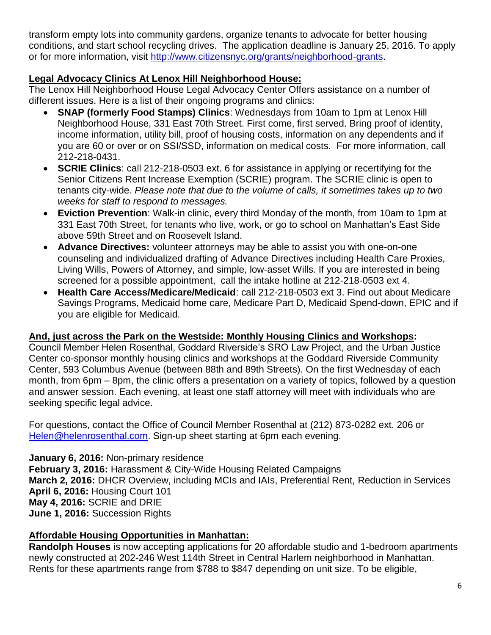transform empty lots into community gardens, organize tenants to advocate for better housing conditions, and start school recycling drives. The application deadline is January 25, 2016. To apply or for more information, visit [http://www.citizensnyc.org/grants/neighborhood-grants.](http://www.citizensnyc.org/grants/neighborhood-grants)

#### **Legal Advocacy Clinics At Lenox Hill Neighborhood House:**

The Lenox Hill Neighborhood House Legal Advocacy Center Offers assistance on a number of different issues. Here is a list of their ongoing programs and clinics:

- **SNAP (formerly Food Stamps) Clinics**: Wednesdays from 10am to 1pm at Lenox Hill Neighborhood House, 331 East 70th Street. First come, first served. Bring proof of identity, income information, utility bill, proof of housing costs, information on any dependents and if you are 60 or over or on SSI/SSD, information on medical costs. For more information, call 212-218-0431.
- **SCRIE Clinics**: call 212-218-0503 ext. 6 for assistance in applying or recertifying for the Senior Citizens Rent Increase Exemption (SCRIE) program. The SCRIE clinic is open to tenants city-wide. *Please note that due to the volume of calls, it sometimes takes up to two weeks for staff to respond to messages.*
- **Eviction Prevention**: Walk-in clinic, every third Monday of the month, from 10am to 1pm at 331 East 70th Street, for tenants who live, work, or go to school on Manhattan's East Side above 59th Street and on Roosevelt Island.
- **Advance Directives:** volunteer attorneys may be able to assist you with one-on-one counseling and individualized drafting of Advance Directives including Health Care Proxies, Living Wills, Powers of Attorney, and simple, low-asset Wills. If you are interested in being screened for a possible appointment, call the intake hotline at 212-218-0503 ext 4.
- **Health Care Access/Medicare/Medicaid**: call 212-218-0503 ext 3. Find out about Medicare Savings Programs, Medicaid home care, Medicare Part D, Medicaid Spend-down, EPIC and if you are eligible for Medicaid.

#### **And, just across the Park on the Westside: Monthly Housing Clinics and Workshops:**

Council Member Helen Rosenthal, Goddard Riverside's SRO Law Project, and the Urban Justice Center co-sponsor monthly housing clinics and workshops at the Goddard Riverside Community Center, 593 Columbus Avenue (between 88th and 89th Streets). On the first Wednesday of each month, from 6pm – 8pm, the clinic offers a presentation on a variety of topics, followed by a question and answer session. Each evening, at least one staff attorney will meet with individuals who are seeking specific legal advice.

For questions, contact the Office of Council Member Rosenthal at (212) 873-0282 ext. 206 or [Helen@helenrosenthal.com.](mailto:Helen@helenrosenthal.com) Sign-up sheet starting at 6pm each evening.

#### **January 6, 2016:** Non-primary residence

**February 3, 2016:** Harassment & City-Wide Housing Related Campaigns **March 2, 2016:** DHCR Overview, including MCIs and IAIs, Preferential Rent, Reduction in Services **April 6, 2016:** Housing Court 101 **May 4, 2016:** SCRIE and DRIE **June 1, 2016:** Succession Rights

#### **Affordable Housing Opportunities in Manhattan:**

**Randolph Houses** is now accepting applications for 20 affordable studio and 1-bedroom apartments newly constructed at 202-246 West 114th Street in Central Harlem neighborhood in Manhattan. Rents for these apartments range from \$788 to \$847 depending on unit size. To be eligible,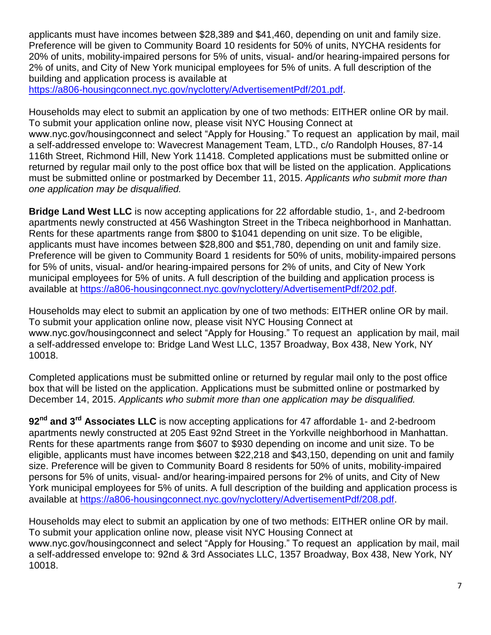applicants must have incomes between \$28,389 and \$41,460, depending on unit and family size. Preference will be given to Community Board 10 residents for 50% of units, NYCHA residents for 20% of units, mobility-impaired persons for 5% of units, visual- and/or hearing-impaired persons for 2% of units, and City of New York municipal employees for 5% of units. A full description of the building and application process is available at

[https://a806-housingconnect.nyc.gov/nyclottery/AdvertisementPdf/201.pdf.](https://a806-housingconnect.nyc.gov/nyclottery/AdvertisementPdf/201.pdf)

Households may elect to submit an application by one of two methods: EITHER online OR by mail. To submit your application online now, please visit NYC Housing Connect at www.nyc.gov/housingconnect and select "Apply for Housing." To request an application by mail, mail a self-addressed envelope to: Wavecrest Management Team, LTD., c/o Randolph Houses, 87-14 116th Street, Richmond Hill, New York 11418. Completed applications must be submitted online or returned by regular mail only to the post office box that will be listed on the application. Applications must be submitted online or postmarked by December 11, 2015. *Applicants who submit more than one application may be disqualified.*

**Bridge Land West LLC** is now accepting applications for 22 affordable studio, 1-, and 2-bedroom apartments newly constructed at 456 Washington Street in the Tribeca neighborhood in Manhattan. Rents for these apartments range from \$800 to \$1041 depending on unit size. To be eligible, applicants must have incomes between \$28,800 and \$51,780, depending on unit and family size. Preference will be given to Community Board 1 residents for 50% of units, mobility-impaired persons for 5% of units, visual- and/or hearing-impaired persons for 2% of units, and City of New York municipal employees for 5% of units. A full description of the building and application process is available at [https://a806-housingconnect.nyc.gov/nyclottery/AdvertisementPdf/202.pdf.](https://a806-housingconnect.nyc.gov/nyclottery/AdvertisementPdf/202.pdf)

Households may elect to submit an application by one of two methods: EITHER online OR by mail. To submit your application online now, please visit NYC Housing Connect at www.nyc.gov/housingconnect and select "Apply for Housing." To request an application by mail, mail a self-addressed envelope to: Bridge Land West LLC, 1357 Broadway, Box 438, New York, NY 10018.

Completed applications must be submitted online or returned by regular mail only to the post office box that will be listed on the application. Applications must be submitted online or postmarked by December 14, 2015. *Applicants who submit more than one application may be disqualified.*

**92nd and 3rd Associates LLC** is now accepting applications for 47 affordable 1- and 2-bedroom apartments newly constructed at 205 East 92nd Street in the Yorkville neighborhood in Manhattan. Rents for these apartments range from \$607 to \$930 depending on income and unit size. To be eligible, applicants must have incomes between \$22,218 and \$43,150, depending on unit and family size. Preference will be given to Community Board 8 residents for 50% of units, mobility-impaired persons for 5% of units, visual- and/or hearing-impaired persons for 2% of units, and City of New York municipal employees for 5% of units. A full description of the building and application process is available at [https://a806-housingconnect.nyc.gov/nyclottery/AdvertisementPdf/208.pdf.](https://a806-housingconnect.nyc.gov/nyclottery/AdvertisementPdf/208.pdf)

Households may elect to submit an application by one of two methods: EITHER online OR by mail. To submit your application online now, please visit NYC Housing Connect at www.nyc.gov/housingconnect and select "Apply for Housing." To request an application by mail, mail a self-addressed envelope to: 92nd & 3rd Associates LLC, 1357 Broadway, Box 438, New York, NY 10018.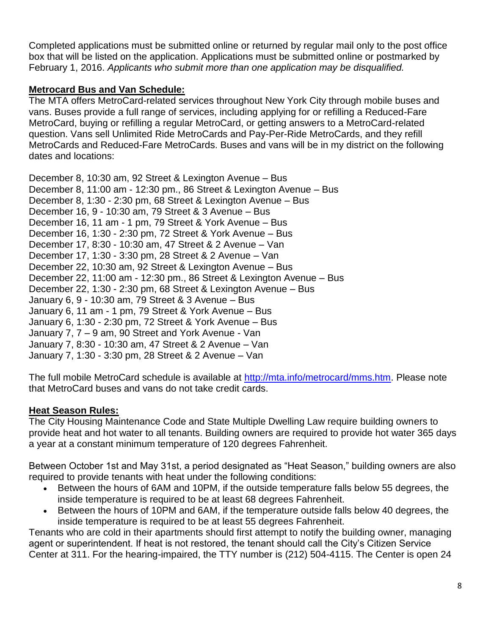Completed applications must be submitted online or returned by regular mail only to the post office box that will be listed on the application. Applications must be submitted online or postmarked by February 1, 2016. *Applicants who submit more than one application may be disqualified.*

#### **Metrocard Bus and Van Schedule:**

The MTA offers MetroCard-related services throughout New York City through mobile buses and vans. Buses provide a full range of services, including applying for or refilling a Reduced-Fare MetroCard, buying or refilling a regular MetroCard, or getting answers to a MetroCard-related question. Vans sell Unlimited Ride MetroCards and Pay-Per-Ride MetroCards, and they refill MetroCards and Reduced-Fare MetroCards. Buses and vans will be in my district on the following dates and locations:

December 8, 10:30 am, 92 Street & Lexington Avenue – Bus December 8, 11:00 am - 12:30 pm., 86 Street & Lexington Avenue – Bus December 8, 1:30 - 2:30 pm, 68 Street & Lexington Avenue – Bus December 16, 9 - 10:30 am, 79 Street & 3 Avenue – Bus December 16, 11 am - 1 pm, 79 Street & York Avenue – Bus December 16, 1:30 - 2:30 pm, 72 Street & York Avenue – Bus December 17, 8:30 - 10:30 am, 47 Street & 2 Avenue – Van December 17, 1:30 - 3:30 pm, 28 Street & 2 Avenue – Van December 22, 10:30 am, 92 Street & Lexington Avenue – Bus December 22, 11:00 am - 12:30 pm., 86 Street & Lexington Avenue – Bus December 22, 1:30 - 2:30 pm, 68 Street & Lexington Avenue – Bus January 6, 9 - 10:30 am, 79 Street & 3 Avenue – Bus January 6, 11 am - 1 pm, 79 Street & York Avenue – Bus January 6, 1:30 - 2:30 pm, 72 Street & York Avenue – Bus January 7, 7 – 9 am, 90 Street and York Avenue - Van January 7, 8:30 - 10:30 am, 47 Street & 2 Avenue – Van January 7, 1:30 - 3:30 pm, 28 Street & 2 Avenue – Van

The full mobile MetroCard schedule is available at [http://mta.info/metrocard/mms.htm.](http://mta.info/metrocard/mms.htm) Please note that MetroCard buses and vans do not take credit cards.

#### **Heat Season Rules:**

The City Housing Maintenance Code and State Multiple Dwelling Law require building owners to provide heat and hot water to all tenants. Building owners are required to provide hot water 365 days a year at a constant minimum temperature of 120 degrees Fahrenheit.

Between October 1st and May 31st, a period designated as "Heat Season," building owners are also required to provide tenants with heat under the following conditions:

- Between the hours of 6AM and 10PM, if the outside temperature falls below 55 degrees, the inside temperature is required to be at least 68 degrees Fahrenheit.
- Between the hours of 10PM and 6AM, if the temperature outside falls below 40 degrees, the inside temperature is required to be at least 55 degrees Fahrenheit.

Tenants who are cold in their apartments should first attempt to notify the building owner, managing agent or superintendent. If heat is not restored, the tenant should call the City's Citizen Service Center at 311. For the hearing-impaired, the TTY number is [\(212\) 504-4115.](tel:%28212%29%20504-4115) The Center is open 24